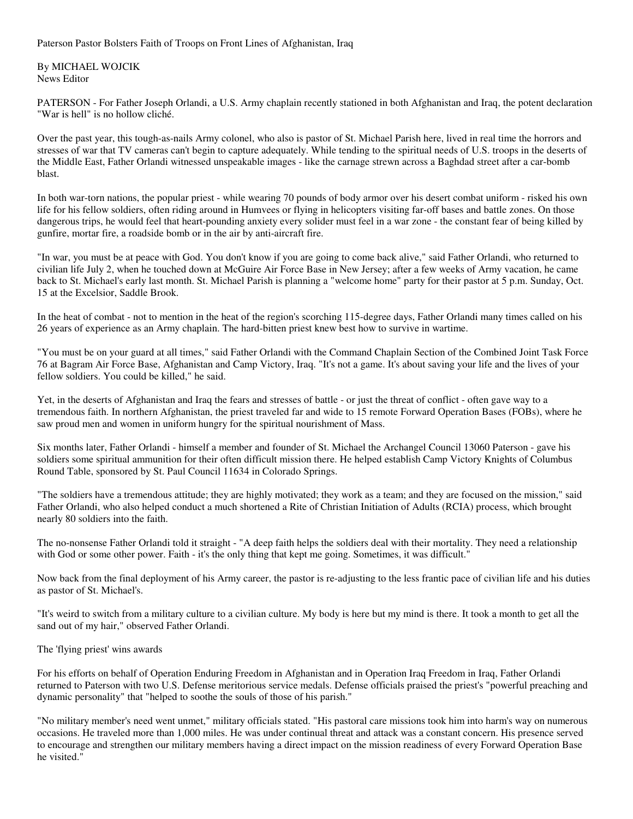Paterson Pastor Bolsters Faith of Troops on Front Lines of Afghanistan, Iraq

By MICHAEL WOJCIK News Editor

PATERSON - For Father Joseph Orlandi, a U.S. Army chaplain recently stationed in both Afghanistan and Iraq, the potent declaration "War is hell" is no hollow cliché.

Over the past year, this tough-as-nails Army colonel, who also is pastor of St. Michael Parish here, lived in real time the horrors and stresses of war that TV cameras can't begin to capture adequately. While tending to the spiritual needs of U.S. troops in the deserts of the Middle East, Father Orlandi witnessed unspeakable images - like the carnage strewn across a Baghdad street after a car-bomb blast.

In both war-torn nations, the popular priest - while wearing 70 pounds of body armor over his desert combat uniform - risked his own life for his fellow soldiers, often riding around in Humvees or flying in helicopters visiting far-off bases and battle zones. On those dangerous trips, he would feel that heart-pounding anxiety every solider must feel in a war zone - the constant fear of being killed by gunfire, mortar fire, a roadside bomb or in the air by anti-aircraft fire.

"In war, you must be at peace with God. You don't know if you are going to come back alive," said Father Orlandi, who returned to civilian life July 2, when he touched down at McGuire Air Force Base in New Jersey; after a few weeks of Army vacation, he came back to St. Michael's early last month. St. Michael Parish is planning a "welcome home" party for their pastor at 5 p.m. Sunday, Oct. 15 at the Excelsior, Saddle Brook.

In the heat of combat - not to mention in the heat of the region's scorching 115-degree days, Father Orlandi many times called on his 26 years of experience as an Army chaplain. The hard-bitten priest knew best how to survive in wartime.

"You must be on your guard at all times," said Father Orlandi with the Command Chaplain Section of the Combined Joint Task Force 76 at Bagram Air Force Base, Afghanistan and Camp Victory, Iraq. "It's not a game. It's about saving your life and the lives of your fellow soldiers. You could be killed," he said.

Yet, in the deserts of Afghanistan and Iraq the fears and stresses of battle - or just the threat of conflict - often gave way to a tremendous faith. In northern Afghanistan, the priest traveled far and wide to 15 remote Forward Operation Bases (FOBs), where he saw proud men and women in uniform hungry for the spiritual nourishment of Mass.

Six months later, Father Orlandi - himself a member and founder of St. Michael the Archangel Council 13060 Paterson - gave his soldiers some spiritual ammunition for their often difficult mission there. He helped establish Camp Victory Knights of Columbus Round Table, sponsored by St. Paul Council 11634 in Colorado Springs.

"The soldiers have a tremendous attitude; they are highly motivated; they work as a team; and they are focused on the mission," said Father Orlandi, who also helped conduct a much shortened a Rite of Christian Initiation of Adults (RCIA) process, which brought nearly 80 soldiers into the faith.

The no-nonsense Father Orlandi told it straight - "A deep faith helps the soldiers deal with their mortality. They need a relationship with God or some other power. Faith - it's the only thing that kept me going. Sometimes, it was difficult."

Now back from the final deployment of his Army career, the pastor is re-adjusting to the less frantic pace of civilian life and his duties as pastor of St. Michael's.

"It's weird to switch from a military culture to a civilian culture. My body is here but my mind is there. It took a month to get all the sand out of my hair," observed Father Orlandi.

## The 'flying priest' wins awards

For his efforts on behalf of Operation Enduring Freedom in Afghanistan and in Operation Iraq Freedom in Iraq, Father Orlandi returned to Paterson with two U.S. Defense meritorious service medals. Defense officials praised the priest's "powerful preaching and dynamic personality" that "helped to soothe the souls of those of his parish."

"No military member's need went unmet," military officials stated. "His pastoral care missions took him into harm's way on numerous occasions. He traveled more than 1,000 miles. He was under continual threat and attack was a constant concern. His presence served to encourage and strengthen our military members having a direct impact on the mission readiness of every Forward Operation Base he visited."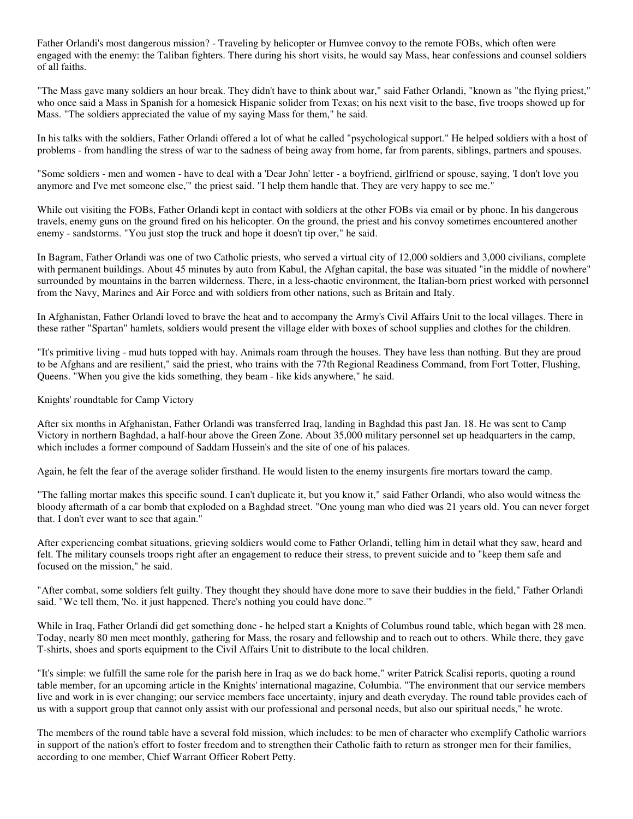Father Orlandi's most dangerous mission? - Traveling by helicopter or Humvee convoy to the remote FOBs, which often were engaged with the enemy: the Taliban fighters. There during his short visits, he would say Mass, hear confessions and counsel soldiers of all faiths.

"The Mass gave many soldiers an hour break. They didn't have to think about war," said Father Orlandi, "known as "the flying priest," who once said a Mass in Spanish for a homesick Hispanic solider from Texas; on his next visit to the base, five troops showed up for Mass. "The soldiers appreciated the value of my saying Mass for them," he said.

In his talks with the soldiers, Father Orlandi offered a lot of what he called "psychological support." He helped soldiers with a host of problems - from handling the stress of war to the sadness of being away from home, far from parents, siblings, partners and spouses.

"Some soldiers - men and women - have to deal with a 'Dear John' letter - a boyfriend, girlfriend or spouse, saying, 'I don't love you anymore and I've met someone else,'" the priest said. "I help them handle that. They are very happy to see me."

While out visiting the FOBs, Father Orlandi kept in contact with soldiers at the other FOBs via email or by phone. In his dangerous travels, enemy guns on the ground fired on his helicopter. On the ground, the priest and his convoy sometimes encountered another enemy - sandstorms. "You just stop the truck and hope it doesn't tip over," he said.

In Bagram, Father Orlandi was one of two Catholic priests, who served a virtual city of 12,000 soldiers and 3,000 civilians, complete with permanent buildings. About 45 minutes by auto from Kabul, the Afghan capital, the base was situated "in the middle of nowhere" surrounded by mountains in the barren wilderness. There, in a less-chaotic environment, the Italian-born priest worked with personnel from the Navy, Marines and Air Force and with soldiers from other nations, such as Britain and Italy.

In Afghanistan, Father Orlandi loved to brave the heat and to accompany the Army's Civil Affairs Unit to the local villages. There in these rather "Spartan" hamlets, soldiers would present the village elder with boxes of school supplies and clothes for the children.

"It's primitive living - mud huts topped with hay. Animals roam through the houses. They have less than nothing. But they are proud to be Afghans and are resilient," said the priest, who trains with the 77th Regional Readiness Command, from Fort Totter, Flushing, Queens. "When you give the kids something, they beam - like kids anywhere," he said.

Knights' roundtable for Camp Victory

After six months in Afghanistan, Father Orlandi was transferred Iraq, landing in Baghdad this past Jan. 18. He was sent to Camp Victory in northern Baghdad, a half-hour above the Green Zone. About 35,000 military personnel set up headquarters in the camp, which includes a former compound of Saddam Hussein's and the site of one of his palaces.

Again, he felt the fear of the average solider firsthand. He would listen to the enemy insurgents fire mortars toward the camp.

"The falling mortar makes this specific sound. I can't duplicate it, but you know it," said Father Orlandi, who also would witness the bloody aftermath of a car bomb that exploded on a Baghdad street. "One young man who died was 21 years old. You can never forget that. I don't ever want to see that again."

After experiencing combat situations, grieving soldiers would come to Father Orlandi, telling him in detail what they saw, heard and felt. The military counsels troops right after an engagement to reduce their stress, to prevent suicide and to "keep them safe and focused on the mission," he said.

"After combat, some soldiers felt guilty. They thought they should have done more to save their buddies in the field," Father Orlandi said. "We tell them, 'No. it just happened. There's nothing you could have done.'"

While in Iraq, Father Orlandi did get something done - he helped start a Knights of Columbus round table, which began with 28 men. Today, nearly 80 men meet monthly, gathering for Mass, the rosary and fellowship and to reach out to others. While there, they gave T-shirts, shoes and sports equipment to the Civil Affairs Unit to distribute to the local children.

"It's simple: we fulfill the same role for the parish here in Iraq as we do back home," writer Patrick Scalisi reports, quoting a round table member, for an upcoming article in the Knights' international magazine, Columbia. "The environment that our service members live and work in is ever changing; our service members face uncertainty, injury and death everyday. The round table provides each of us with a support group that cannot only assist with our professional and personal needs, but also our spiritual needs," he wrote.

The members of the round table have a several fold mission, which includes: to be men of character who exemplify Catholic warriors in support of the nation's effort to foster freedom and to strengthen their Catholic faith to return as stronger men for their families, according to one member, Chief Warrant Officer Robert Petty.